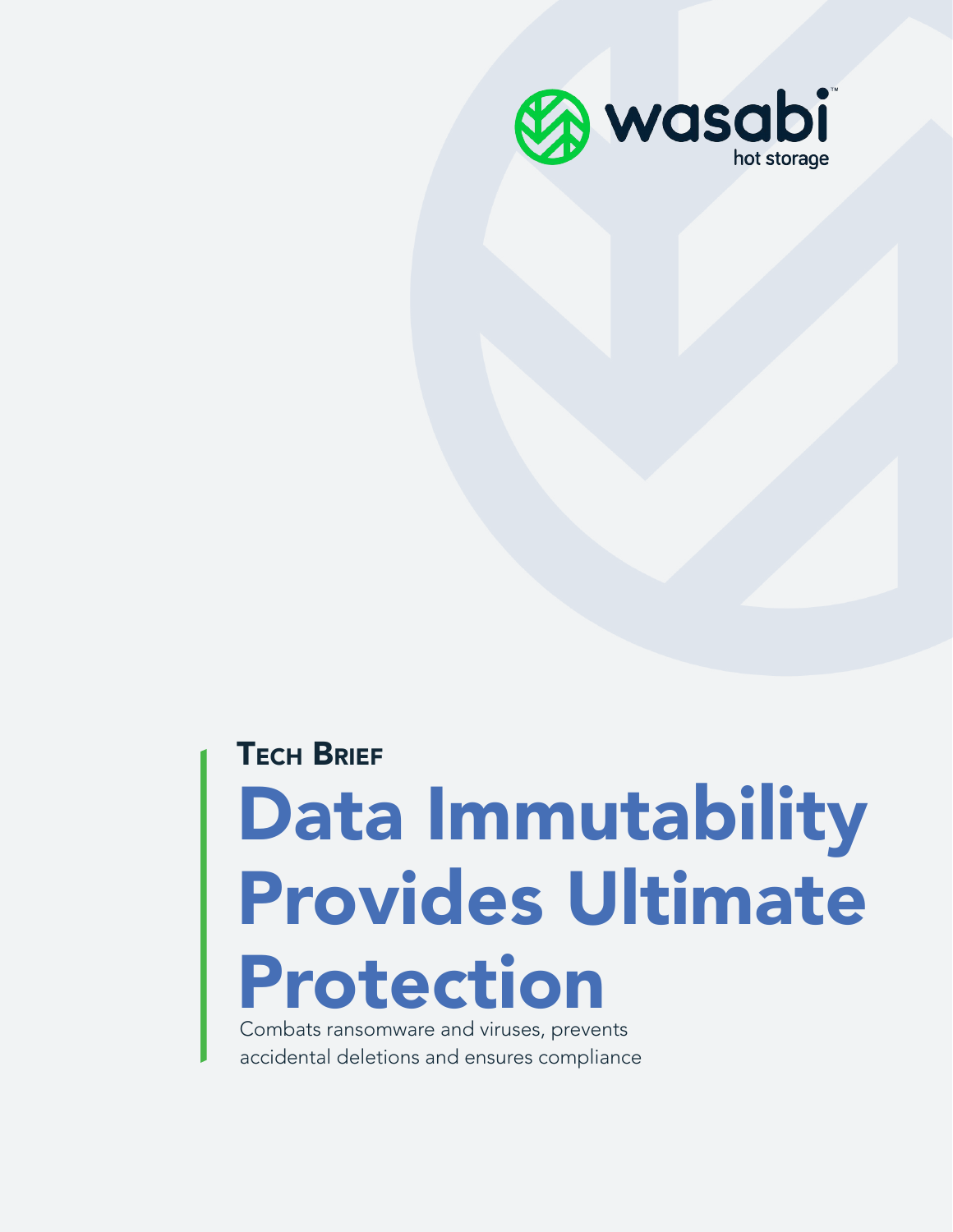

# Data Immutability Provides Ultimate Protection **TECH BRIEF**

Combats ransomware and viruses, prevents accidental deletions and ensures compliance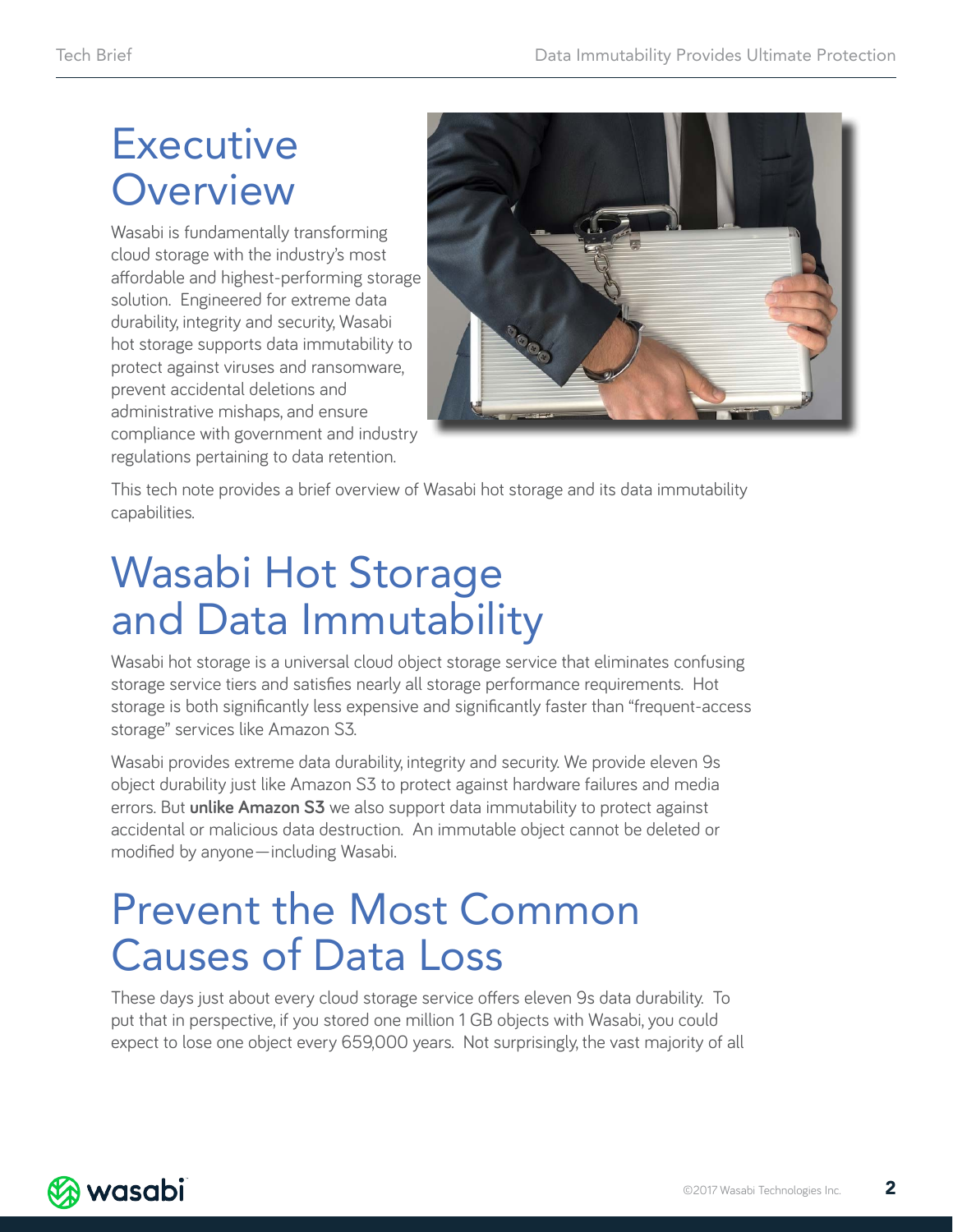### **Executive Overview**

Wasabi is fundamentally transforming cloud storage with the industry's most affordable and highest-performing storage solution. Engineered for extreme data durability, integrity and security, Wasabi hot storage supports data immutability to protect against viruses and ransomware, prevent accidental deletions and administrative mishaps, and ensure compliance with government and industry regulations pertaining to data retention.



This tech note provides a brief overview of Wasabi hot storage and its data immutability capabilities.

### Wasabi Hot Storage and Data Immutability

Wasabi hot storage is a universal cloud object storage service that eliminates confusing storage service tiers and satisfies nearly all storage performance requirements. Hot storage is both significantly less expensive and significantly faster than "frequent-access storage" services like Amazon S3.

Wasabi provides extreme data durability, integrity and security. We provide eleven 9s object durability just like Amazon S3 to protect against hardware failures and media errors. But **unlike Amazon S3** we also support data immutability to protect against accidental or malicious data destruction. An immutable object cannot be deleted or modified by anyone—including Wasabi.

### Prevent the Most Common Causes of Data Loss

These days just about every cloud storage service offers eleven 9s data durability. To put that in perspective, if you stored one million 1 GB objects with Wasabi, you could expect to lose one object every 659,000 years. Not surprisingly, the vast majority of all

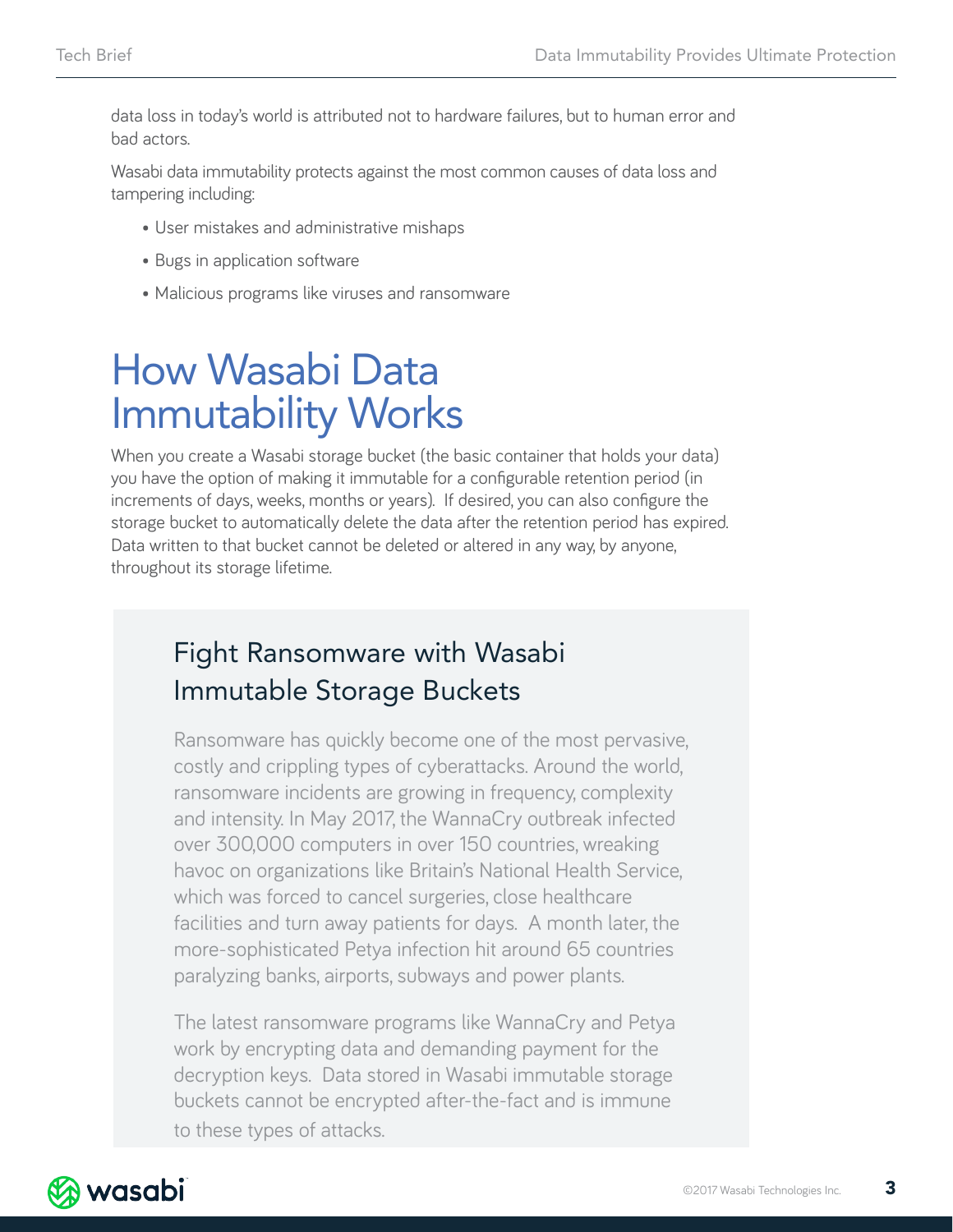data loss in today's world is attributed not to hardware failures, but to human error and bad actors.

Wasabi data immutability protects against the most common causes of data loss and tampering including:

- User mistakes and administrative mishaps
- Bugs in application software
- Malicious programs like viruses and ransomware

### How Wasabi Data Immutability Works

When you create a Wasabi storage bucket (the basic container that holds your data) you have the option of making it immutable for a configurable retention period (in increments of days, weeks, months or years). If desired, you can also configure the storage bucket to automatically delete the data after the retention period has expired. Data written to that bucket cannot be deleted or altered in any way, by anyone, throughout its storage lifetime.

#### Fight Ransomware with Wasabi Immutable Storage Buckets

Ransomware has quickly become one of the most pervasive, costly and crippling types of cyberattacks. Around the world, ransomware incidents are growing in frequency, complexity and intensity. In May 2017, the WannaCry outbreak infected over 300,000 computers in over 150 countries, wreaking havoc on organizations like Britain's National Health Service, which was forced to cancel surgeries, close healthcare facilities and turn away patients for days. A month later, the more-sophisticated Petya infection hit around 65 countries paralyzing banks, airports, subways and power plants.

The latest ransomware programs like WannaCry and Petya work by encrypting data and demanding payment for the decryption keys. Data stored in Wasabi immutable storage buckets cannot be encrypted after-the-fact and is immune to these types of attacks.

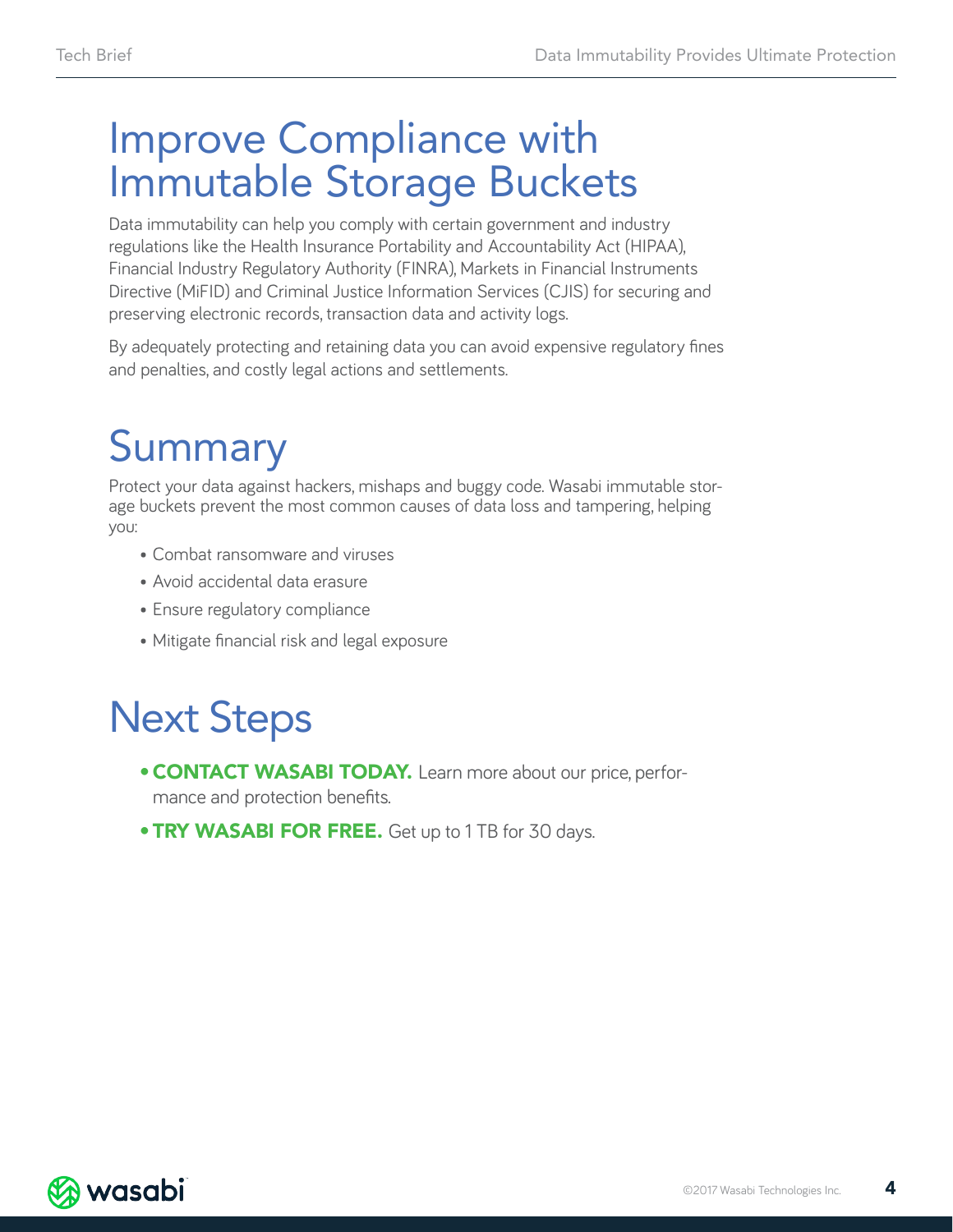### Improve Compliance with Immutable Storage Buckets

Data immutability can help you comply with certain government and industry regulations like the Health Insurance Portability and Accountability Act (HIPAA), Financial Industry Regulatory Authority (FINRA), Markets in Financial Instruments Directive (MiFID) and Criminal Justice Information Services (CJIS) for securing and preserving electronic records, transaction data and activity logs.

By adequately protecting and retaining data you can avoid expensive regulatory fines and penalties, and costly legal actions and settlements.

# Summary

Protect your data against hackers, mishaps and buggy code. Wasabi immutable storage buckets prevent the most common causes of data loss and tampering, helping you:

- Combat ransomware and viruses
- Avoid accidental data erasure
- Ensure regulatory compliance
- Mitigate financial risk and legal exposure

## Next Steps

- **[CONTACT WASABI TODAY.](https://wasabi.com/contact/)** Learn more about our price, performance and protection benefits.
- **TRY WASABI FOR FREE.** Get up to 1 TB for 30 days.